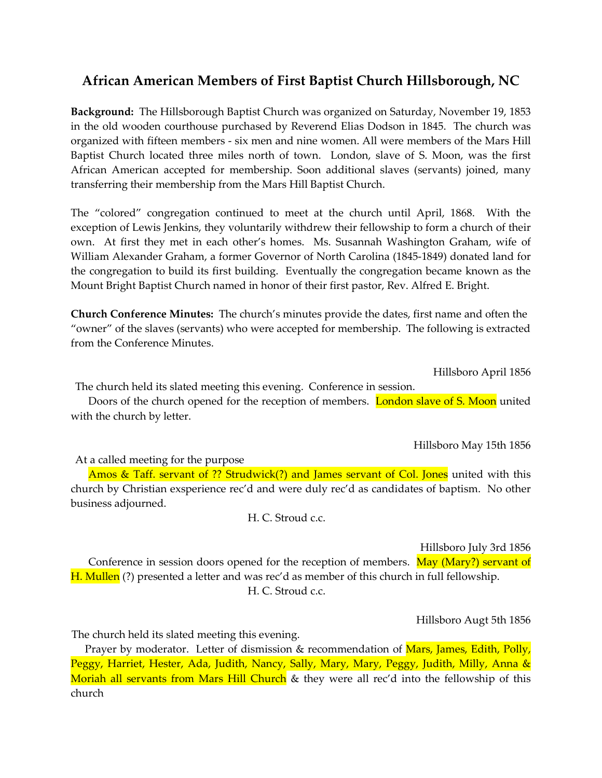## African American Members of First Baptist Church Hillsborough, NC

Background: The Hillsborough Baptist Church was organized on Saturday, November 19, 1853 in the old wooden courthouse purchased by Reverend Elias Dodson in 1845. The church was organized with fifteen members - six men and nine women. All were members of the Mars Hill Baptist Church located three miles north of town. London, slave of S. Moon, was the first African American accepted for membership. Soon additional slaves (servants) joined, many transferring their membership from the Mars Hill Baptist Church.

The "colored" congregation continued to meet at the church until April, 1868. With the exception of Lewis Jenkins, they voluntarily withdrew their fellowship to form a church of their own. At first they met in each other's homes. Ms. Susannah Washington Graham, wife of William Alexander Graham, a former Governor of North Carolina (1845-1849) donated land for the congregation to build its first building. Eventually the congregation became known as the Mount Bright Baptist Church named in honor of their first pastor, Rev. Alfred E. Bright.

Church Conference Minutes: The church's minutes provide the dates, first name and often the "owner" of the slaves (servants) who were accepted for membership. The following is extracted from the Conference Minutes.

Hillsboro April 1856

The church held its slated meeting this evening. Conference in session.

Doors of the church opened for the reception of members. London slave of S. Moon united with the church by letter.

Hillsboro May 15th 1856

At a called meeting for the purpose

Amos & Taff. servant of ?? Strudwick(?) and James servant of Col. Jones united with this church by Christian exsperience rec'd and were duly rec'd as candidates of baptism. No other business adjourned.

H. C. Stroud c.c.

Hillsboro July 3rd 1856

Conference in session doors opened for the reception of members. May (Mary?) servant of H. Mullen (?) presented a letter and was rec'd as member of this church in full fellowship. H. C. Stroud c.c.

Hillsboro Augt 5th 1856

The church held its slated meeting this evening.

Prayer by moderator. Letter of dismission & recommendation of Mars, James, Edith, Polly, Peggy, Harriet, Hester, Ada, Judith, Nancy, Sally, Mary, Mary, Peggy, Judith, Milly, Anna & Moriah all servants from Mars Hill Church & they were all rec'd into the fellowship of this church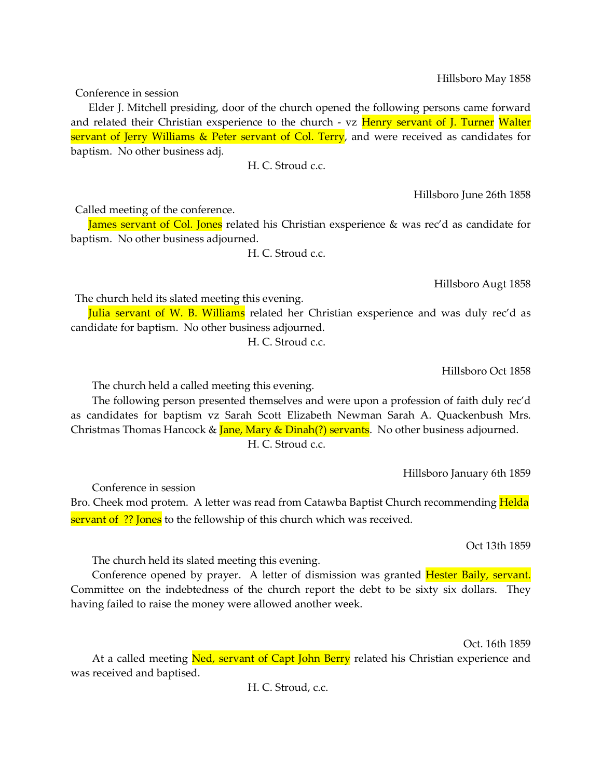Hillsboro May 1858

Conference in session

Elder J. Mitchell presiding, door of the church opened the following persons came forward and related their Christian exsperience to the church - vz Henry servant of J. Turner Walter servant of Jerry Williams & Peter servant of Col. Terry, and were received as candidates for baptism. No other business adj.

H. C. Stroud c.c.

Hillsboro June 26th 1858

Called meeting of the conference.

James servant of Col. Jones related his Christian exsperience & was rec'd as candidate for baptism. No other business adjourned.

H. C. Stroud c.c.

Hillsboro Augt 1858

The church held its slated meeting this evening.

Julia servant of W. B. Williams related her Christian exsperience and was duly rec'd as candidate for baptism. No other business adjourned.

H. C. Stroud c.c.

Hillsboro Oct 1858

The church held a called meeting this evening.

The following person presented themselves and were upon a profession of faith duly rec'd as candidates for baptism vz Sarah Scott Elizabeth Newman Sarah A. Quackenbush Mrs. Christmas Thomas Hancock & *Jane*, Mary & Dinah(?) servants. No other business adjourned. H. C. Stroud c.c.

Hillsboro January 6th 1859

Conference in session Bro. Cheek mod protem. A letter was read from Catawba Baptist Church recommending Helda servant of ?? Jones to the fellowship of this church which was received.

Oct 13th 1859

The church held its slated meeting this evening.

Conference opened by prayer. A letter of dismission was granted **Hester Baily, servant.** Committee on the indebtedness of the church report the debt to be sixty six dollars. They having failed to raise the money were allowed another week.

Oct. 16th 1859

At a called meeting Ned, servant of Capt John Berry related his Christian experience and was received and baptised.

H. C. Stroud, c.c.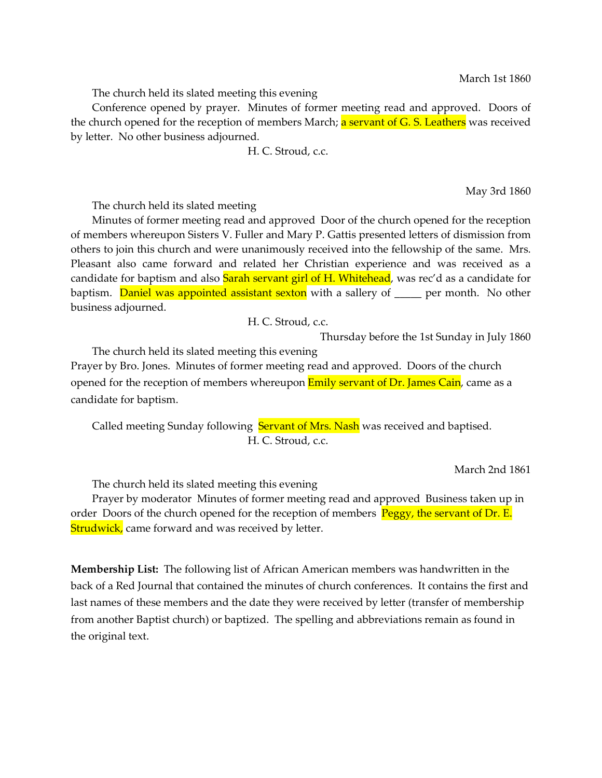March 1st 1860

The church held its slated meeting this evening

Conference opened by prayer. Minutes of former meeting read and approved. Doors of the church opened for the reception of members March; a servant of G. S. Leathers was received by letter. No other business adjourned.

H. C. Stroud, c.c.

May 3rd 1860

The church held its slated meeting

Minutes of former meeting read and approved Door of the church opened for the reception of members whereupon Sisters V. Fuller and Mary P. Gattis presented letters of dismission from others to join this church and were unanimously received into the fellowship of the same. Mrs. Pleasant also came forward and related her Christian experience and was received as a candidate for baptism and also **Sarah servant girl of H. Whitehead**, was rec'd as a candidate for baptism. Daniel was appointed assistant sexton with a sallery of <u>equal</u> per month. No other business adjourned.

H. C. Stroud, c.c.

Thursday before the 1st Sunday in July 1860

The church held its slated meeting this evening Prayer by Bro. Jones. Minutes of former meeting read and approved. Doors of the church opened for the reception of members whereupon **Emily servant of Dr. James Cain**, came as a candidate for baptism.

Called meeting Sunday following Servant of Mrs. Nash was received and baptised. H. C. Stroud, c.c.

March 2nd 1861

The church held its slated meeting this evening

Prayer by moderator Minutes of former meeting read and approved Business taken up in order Doors of the church opened for the reception of members Peggy, the servant of Dr. E. **Strudwick,** came forward and was received by letter.

Membership List: The following list of African American members was handwritten in the back of a Red Journal that contained the minutes of church conferences. It contains the first and last names of these members and the date they were received by letter (transfer of membership from another Baptist church) or baptized. The spelling and abbreviations remain as found in the original text.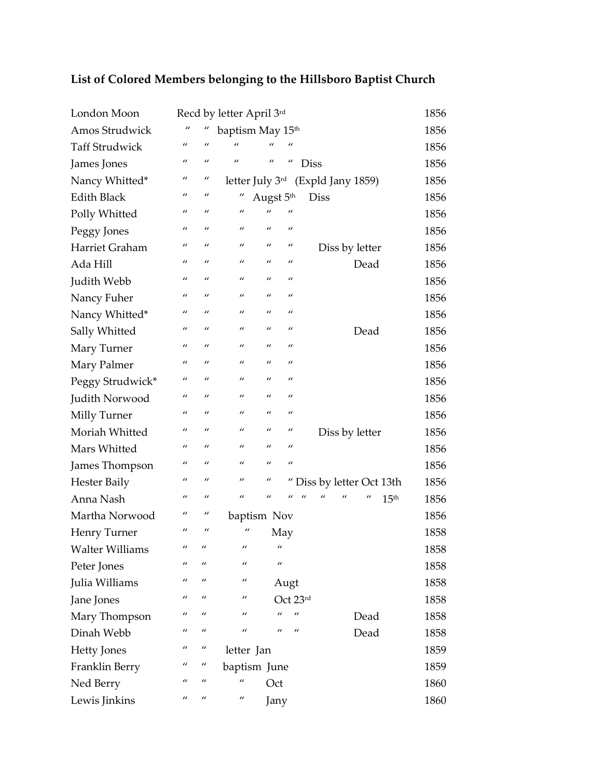| London Moon            |                |                | Recd by letter April 3rd |                  |                               |                         |                |                  | 1856 |
|------------------------|----------------|----------------|--------------------------|------------------|-------------------------------|-------------------------|----------------|------------------|------|
| Amos Strudwick         | $\prime\prime$ |                | baptism May 15th         |                  |                               |                         |                |                  | 1856 |
| <b>Taff Strudwick</b>  | $\prime$       | $\mathbf{u}$   | $\mathbf{u}$             | $\overline{u}$   | $\prime$                      |                         |                |                  | 1856 |
| James Jones            | $\prime\prime$ | $\prime\prime$ | $\prime$                 | $\prime\prime$   | $\prime\prime$<br><b>Diss</b> |                         |                |                  | 1856 |
| Nancy Whitted*         | $\prime\prime$ | $\mu$          | letter July 3rd          |                  |                               | (Expld Jany 1859)       |                |                  | 1856 |
| <b>Edith Black</b>     | $\prime$       | $\prime\prime$ | $\prime\prime$           | Augst 5th        |                               | <b>Diss</b>             |                |                  | 1856 |
| Polly Whitted          | $\prime$       | $\prime$       | $\prime\prime$           | $\mathbf{u}$     |                               |                         |                |                  | 1856 |
| Peggy Jones            | $\prime\prime$ | $\prime$       | $\mathbf{u}$             | $\prime$         | $\prime$                      |                         |                |                  | 1856 |
| Harriet Graham         | $\prime\prime$ | $\prime$       | $\prime\prime$           | $\prime$         | $\prime\prime$                | Diss by letter          |                |                  | 1856 |
| Ada Hill               | $\prime\prime$ | $\prime\prime$ | $\mathbf{u}$             | $\prime$         | $\prime$                      |                         | Dead           |                  | 1856 |
| Judith Webb            | $\prime$       | $\overline{u}$ | $\prime$                 | $\prime$         | $\mathbf{u}$                  |                         |                |                  | 1856 |
| Nancy Fuher            | $\prime\prime$ | $\prime\prime$ | $\prime\prime$           | $\prime$         | $\prime\prime$                |                         |                |                  | 1856 |
| Nancy Whitted*         | $\prime$       | $\prime$       | $\prime\prime$           | $\prime$         | $\prime$                      |                         |                |                  | 1856 |
| Sally Whitted          | $\prime$       | $\prime$       | $\mathbf{u}$             | $\prime$         | $\mathbf{u}$                  |                         | Dead           |                  | 1856 |
| Mary Turner            | $\prime$       | $\prime$       | $\prime\prime$           | $\prime$         | $\prime$                      |                         |                |                  | 1856 |
| Mary Palmer            | $\prime$       | $\mathbf{u}$   | $\prime$                 | $\mathbf{u}$     | $\mathbf{u}$                  |                         |                |                  | 1856 |
| Peggy Strudwick*       | $\prime$       | $\prime\prime$ | $\prime$                 | $\boldsymbol{u}$ | $\prime$                      |                         |                |                  | 1856 |
| Judith Norwood         | $\prime\prime$ | $\prime\prime$ | $\mathbf{u}$             | $\prime$         | $\prime$                      |                         |                |                  | 1856 |
| Milly Turner           | $\prime\prime$ | $\prime$       | $\prime\prime$           | $\prime$         | $\prime$                      |                         |                |                  | 1856 |
| Moriah Whitted         | $\prime$       | $\prime$       | $\prime\prime$           | $\prime$         | $\prime$                      | Diss by letter          |                |                  | 1856 |
| Mars Whitted           | $\prime\prime$ | $\prime$       | $\mathbf{u}$             | $\prime$         | $\prime$                      |                         |                |                  | 1856 |
| James Thompson         | $\prime\prime$ | $\prime$       | $\prime\prime$           | $\prime$         | $\prime$                      |                         |                |                  | 1856 |
| <b>Hester Baily</b>    | $\prime\prime$ | $\prime\prime$ | $\prime\prime$           | $\prime\prime$   |                               | Diss by letter Oct 13th |                |                  | 1856 |
| Anna Nash              | $\prime$       | $\prime\prime$ | $\mathbf{u}$             | $\prime$         | $\prime\prime$                | $\prime$<br>"           | $\prime\prime$ | 15 <sup>th</sup> | 1856 |
| Martha Norwood         | $\prime\prime$ | $\prime\prime$ | baptism Nov              |                  |                               |                         |                |                  | 1856 |
| Henry Turner           | $\prime\prime$ | $\prime$       | "                        | May              |                               |                         |                |                  | 1858 |
| <b>Walter Williams</b> | $\prime$       | $\prime\prime$ | $\prime\prime$           | $\mu$            |                               |                         |                |                  | 1858 |
| Peter Jones            | $\prime\prime$ | $\prime$       | $\prime\prime$           | $\prime\prime$   |                               |                         |                |                  | 1858 |
| Julia Williams         | $\prime\prime$ | $\prime\prime$ | $\prime\prime$           |                  | Augt                          |                         |                |                  | 1858 |
| Jane Jones             | $\prime\prime$ | $\prime\prime$ | $\prime\prime$           |                  | Oct 23rd                      |                         |                |                  | 1858 |
| Mary Thompson          | $\prime\prime$ | $\prime\prime$ | $\prime\prime$           | $\prime\prime$   | $\prime\prime$                |                         | Dead           |                  | 1858 |
| Dinah Webb             | $\prime\prime$ | $\prime\prime$ | $\prime\prime$           | $\mathbf{u}$     | $\prime\prime$                |                         | Dead           |                  | 1858 |
| <b>Hetty Jones</b>     | $\prime\prime$ | $\prime\prime$ | letter Jan               |                  |                               |                         |                |                  | 1859 |
| Franklin Berry         | $\prime\prime$ | $\prime\prime$ | baptism June             |                  |                               |                         |                |                  | 1859 |
| Ned Berry              | $\prime\prime$ | $\prime\prime$ | $\prime\prime$           | Oct              |                               |                         |                |                  | 1860 |
| Lewis Jinkins          | $\prime\prime$ | $\prime\prime$ | $\prime\prime$           | Jany             |                               |                         |                |                  | 1860 |

## List of Colored Members belonging to the Hillsboro Baptist Church